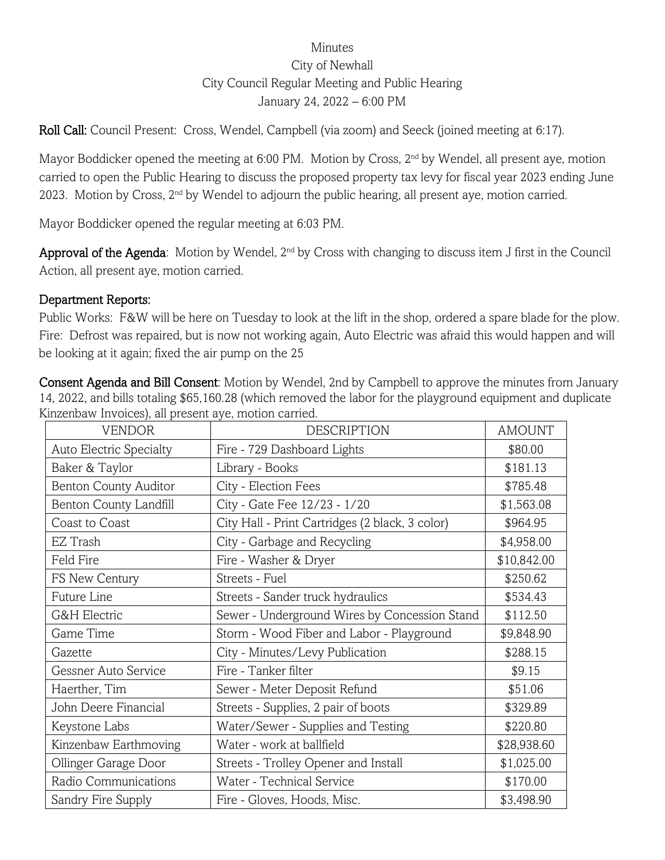## Minutes City of Newhall City Council Regular Meeting and Public Hearing January 24, 2022 – 6:00 PM

Roll Call: Council Present: Cross, Wendel, Campbell (via zoom) and Seeck (joined meeting at 6:17).

Mayor Boddicker opened the meeting at 6:00 PM. Motion by Cross, 2<sup>nd</sup> by Wendel, all present aye, motion carried to open the Public Hearing to discuss the proposed property tax levy for fiscal year 2023 ending June 2023. Motion by Cross, 2<sup>nd</sup> by Wendel to adjourn the public hearing, all present aye, motion carried.

Mayor Boddicker opened the regular meeting at 6:03 PM.

Approval of the Agenda: Motion by Wendel, 2<sup>nd</sup> by Cross with changing to discuss item J first in the Council Action, all present aye, motion carried.

## Department Reports:

Public Works: F&W will be here on Tuesday to look at the lift in the shop, ordered a spare blade for the plow. Fire: Defrost was repaired, but is now not working again, Auto Electric was afraid this would happen and will be looking at it again; fixed the air pump on the 25

Consent Agenda and Bill Consent: Motion by Wendel, 2nd by Campbell to approve the minutes from January 14, 2022, and bills totaling \$65,160.28 (which removed the labor for the playground equipment and duplicate Kinzenbaw Invoices), all present aye, motion carried.

|                              | <i>a</i> , <i>a</i> , <i>a</i> , <i>a</i> , <i>a</i> , <i>a</i> , <i>a</i> , <i>a</i> , |               |
|------------------------------|-----------------------------------------------------------------------------------------|---------------|
| <b>VENDOR</b>                | <b>DESCRIPTION</b>                                                                      | <b>AMOUNT</b> |
| Auto Electric Specialty      | Fire - 729 Dashboard Lights                                                             | \$80.00       |
| Baker & Taylor               | Library - Books                                                                         | \$181.13      |
| <b>Benton County Auditor</b> | City - Election Fees                                                                    | \$785.48      |
| Benton County Landfill       | City - Gate Fee 12/23 - 1/20                                                            | \$1,563.08    |
| Coast to Coast               | City Hall - Print Cartridges (2 black, 3 color)                                         | \$964.95      |
| EZ Trash                     | City - Garbage and Recycling                                                            | \$4,958.00    |
| Feld Fire                    | Fire - Washer & Dryer                                                                   | \$10,842.00   |
| FS New Century               | Streets - Fuel                                                                          | \$250.62      |
| Future Line                  | Streets - Sander truck hydraulics                                                       | \$534.43      |
| G&H Electric                 | Sewer - Underground Wires by Concession Stand                                           | \$112.50      |
| Game Time                    | Storm - Wood Fiber and Labor - Playground                                               | \$9,848.90    |
| Gazette                      | City - Minutes/Levy Publication                                                         | \$288.15      |
| Gessner Auto Service         | Fire - Tanker filter                                                                    | \$9.15        |
| Haerther, Tim                | Sewer - Meter Deposit Refund                                                            | \$51.06       |
| John Deere Financial         | Streets - Supplies, 2 pair of boots                                                     | \$329.89      |
| Keystone Labs                | Water/Sewer - Supplies and Testing                                                      | \$220.80      |
| Kinzenbaw Earthmoving        | Water - work at ballfield                                                               | \$28,938.60   |
| Ollinger Garage Door         | Streets - Trolley Opener and Install                                                    | \$1,025.00    |
| Radio Communications         | Water - Technical Service                                                               | \$170.00      |
| Sandry Fire Supply           | Fire - Gloves, Hoods, Misc.                                                             | \$3,498.90    |